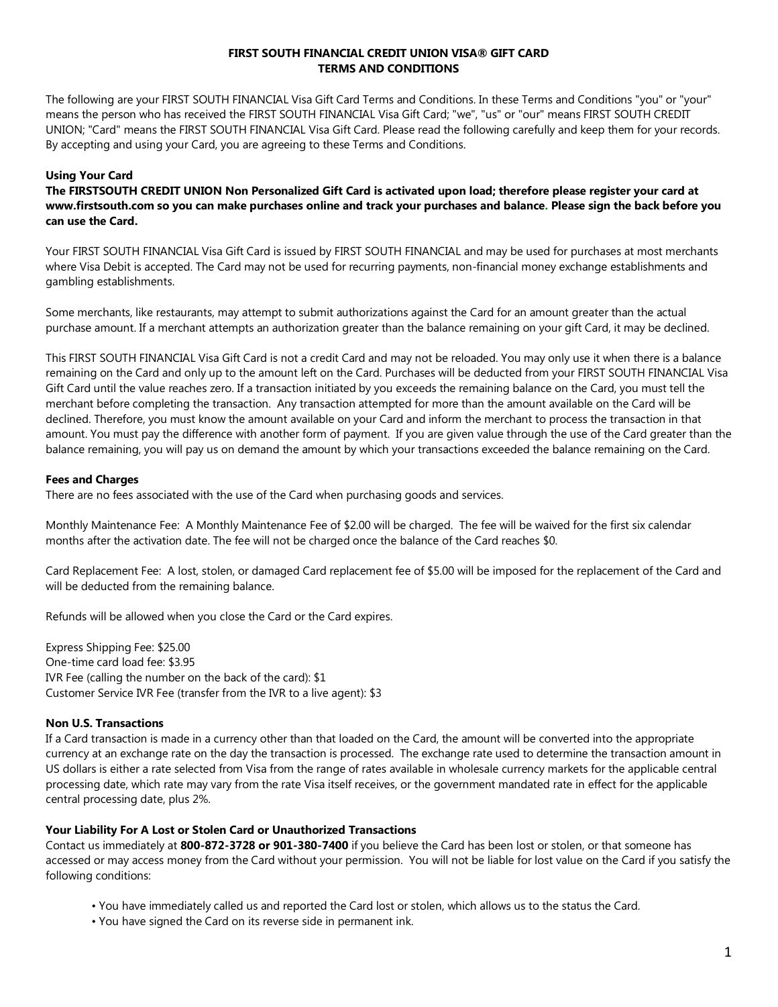### **FIRST SOUTH FINANCIAL CREDIT UNION VISA® GIFT CARD TERMS AND CONDITIONS**

The following are your FIRST SOUTH FINANCIAL Visa Gift Card Terms and Conditions. In these Terms and Conditions "you" or "your" means the person who has received the FIRST SOUTH FINANCIAL Visa Gift Card; "we", "us" or "our" means FIRST SOUTH CREDIT UNION; "Card" means the FIRST SOUTH FINANCIAL Visa Gift Card. Please read the following carefully and keep them for your records. By accepting and using your Card, you are agreeing to these Terms and Conditions.

# **Using Your Card**

**The FIRSTSOUTH CREDIT UNION Non Personalized Gift Card is activated upon load; therefore please register your card at www.firstsouth.com so you can make purchases online and track your purchases and balance. Please sign the back before you can use the Card.** 

Your FIRST SOUTH FINANCIAL Visa Gift Card is issued by FIRST SOUTH FINANCIAL and may be used for purchases at most merchants where Visa Debit is accepted. The Card may not be used for recurring payments, non-financial money exchange establishments and gambling establishments.

Some merchants, like restaurants, may attempt to submit authorizations against the Card for an amount greater than the actual purchase amount. If a merchant attempts an authorization greater than the balance remaining on your gift Card, it may be declined.

This FIRST SOUTH FINANCIAL Visa Gift Card is not a credit Card and may not be reloaded. You may only use it when there is a balance remaining on the Card and only up to the amount left on the Card. Purchases will be deducted from your FIRST SOUTH FINANCIAL Visa Gift Card until the value reaches zero. If a transaction initiated by you exceeds the remaining balance on the Card, you must tell the merchant before completing the transaction. Any transaction attempted for more than the amount available on the Card will be declined. Therefore, you must know the amount available on your Card and inform the merchant to process the transaction in that amount. You must pay the difference with another form of payment. If you are given value through the use of the Card greater than the balance remaining, you will pay us on demand the amount by which your transactions exceeded the balance remaining on the Card.

### **Fees and Charges**

There are no fees associated with the use of the Card when purchasing goods and services.

Monthly Maintenance Fee: A Monthly Maintenance Fee of \$2.00 will be charged. The fee will be waived for the first six calendar months after the activation date. The fee will not be charged once the balance of the Card reaches \$0.

Card Replacement Fee: A lost, stolen, or damaged Card replacement fee of \$5.00 will be imposed for the replacement of the Card and will be deducted from the remaining balance.

Refunds will be allowed when you close the Card or the Card expires.

Express Shipping Fee: \$25.00 One-time card load fee: \$3.95 IVR Fee (calling the number on the back of the card): \$1 Customer Service IVR Fee (transfer from the IVR to a live agent): \$3

### **Non U.S. Transactions**

If a Card transaction is made in a currency other than that loaded on the Card, the amount will be converted into the appropriate currency at an exchange rate on the day the transaction is processed. The exchange rate used to determine the transaction amount in US dollars is either a rate selected from Visa from the range of rates available in wholesale currency markets for the applicable central processing date, which rate may vary from the rate Visa itself receives, or the government mandated rate in effect for the applicable central processing date, plus 2%.

### **Your Liability For A Lost or Stolen Card or Unauthorized Transactions**

Contact us immediately at **800-872-3728 or 901-380-7400** if you believe the Card has been lost or stolen, or that someone has accessed or may access money from the Card without your permission. You will not be liable for lost value on the Card if you satisfy the following conditions:

- You have immediately called us and reported the Card lost or stolen, which allows us to the status the Card.
- You have signed the Card on its reverse side in permanent ink.